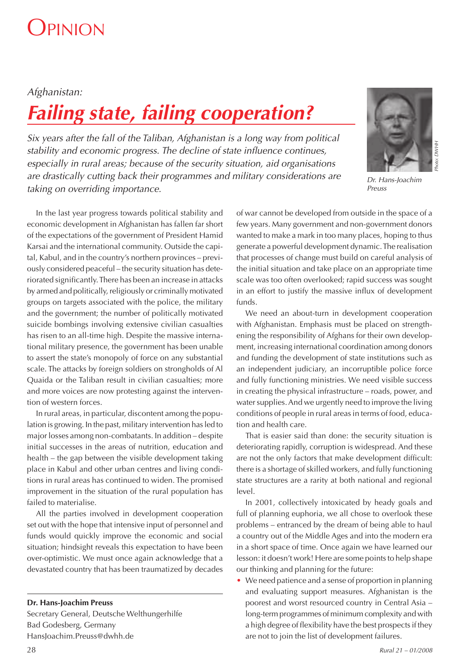# **DPINION**

### *Afghanistan:*

# *Failing state, failing cooperation?*

*Six years after the fall of the Taliban, Afghanistan is a long way from political stability and economic progress. The decline of state infl uence continues, especially in rural areas; because of the security situation, aid organisations are drastically cutting back their programmes and military considerations are taking on overriding importance.* 

In the last year progress towards political stability and economic development in Afghanistan has fallen far short of the expectations of the government of President Hamid Karsai and the international community. Outside the capital, Kabul, and in the country's northern provinces – previously considered peaceful – the security situation has deteriorated significantly. There has been an increase in attacks by armed and politically, religiously or criminally motivated groups on targets associated with the police, the military and the government; the number of politically motivated suicide bombings involving extensive civilian casualties has risen to an all-time high. Despite the massive international military presence, the government has been unable to assert the state's monopoly of force on any substantial scale. The attacks by foreign soldiers on strongholds of Al Quaida or the Taliban result in civilian casualties; more and more voices are now protesting against the intervention of western forces.

In rural areas, in particular, discontent among the population is growing. In the past, military intervention has led to major losses among non-combatants. In addition – despite initial successes in the areas of nutrition, education and health – the gap between the visible development taking place in Kabul and other urban centres and living conditions in rural areas has continued to widen. The promised improvement in the situation of the rural population has failed to materialise.

All the parties involved in development cooperation set out with the hope that intensive input of personnel and funds would quickly improve the economic and social situation; hindsight reveals this expectation to have been over-optimistic. We must once again acknowledge that a devastated country that has been traumatized by decades

**Dr. Hans-Joachim Preuss**

Secretary General, Deutsche Welthungerhilfe Bad Godesberg, Germany HansJoachim.Preuss@dwhh.de

of war cannot be developed from outside in the space of a few years. Many government and non-government donors wanted to make a mark in too many places, hoping to thus generate a powerful development dynamic. The realisation that processes of change must build on careful analysis of the initial situation and take place on an appropriate time scale was too often overlooked; rapid success was sought in an effort to justify the massive influx of development funds.

We need an about-turn in development cooperation with Afghanistan. Emphasis must be placed on strengthening the responsibility of Afghans for their own development, increasing international coordination among donors and funding the development of state institutions such as an independent judiciary, an incorruptible police force and fully functioning ministries. We need visible success in creating the physical infrastructure – roads, power, and water supplies. And we urgently need to improve the living conditions of people in rural areas in terms of food, education and health care.

That is easier said than done: the security situation is deteriorating rapidly, corruption is widespread. And these are not the only factors that make development difficult: there is a shortage of skilled workers, and fully functioning state structures are a rarity at both national and regional level.

In 2001, collectively intoxicated by heady goals and full of planning euphoria, we all chose to overlook these problems – entranced by the dream of being able to haul a country out of the Middle Ages and into the modern era in a short space of time. Once again we have learned our lesson: it doesn't work! Here are some points to help shape our thinking and planning for the future:

• We need patience and a sense of proportion in planning and evaluating support measures. Afghanistan is the poorest and worst resourced country in Central Asia – long-term programmes of minimum complexity and with a high degree of flexibility have the best prospects if they are not to join the list of development failures.



*Preuss*